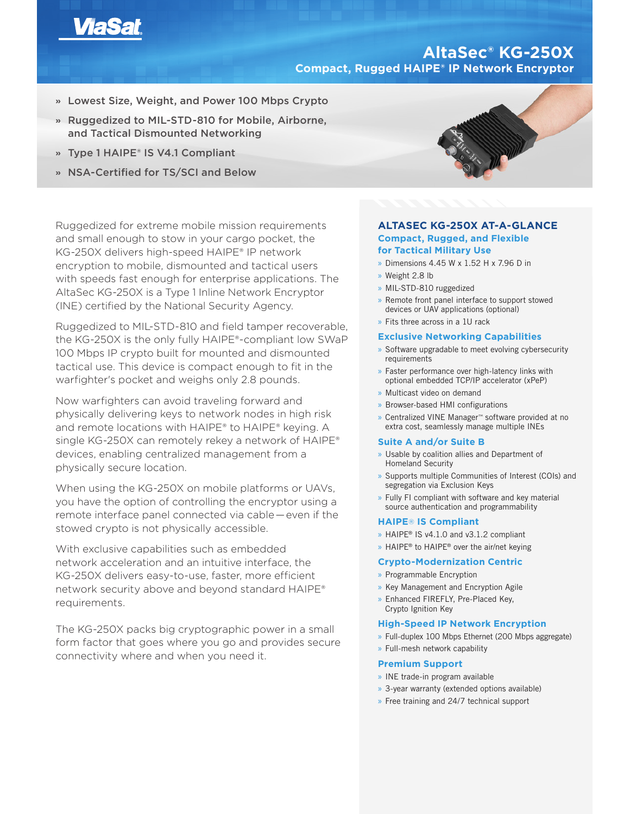

# **AltaSec® KG-250X Compact, Rugged HAIPE® IP Network Encryptor**

- **»** Lowest Size, Weight, and Power 100 Mbps Crypto
- **»** Ruggedized to MIL-STD-810 for Mobile, Airborne, and Tactical Dismounted Networking
- **»** Type 1 HAIPE® IS V4.1 Compliant
- **»** NSA-Certified for TS/SCI and Below

Ruggedized for extreme mobile mission requirements and small enough to stow in your cargo pocket, the KG-250X delivers high-speed HAIPE® IP network encryption to mobile, dismounted and tactical users with speeds fast enough for enterprise applications. The AltaSec KG-250X is a Type 1 Inline Network Encryptor (INE) certified by the National Security Agency.

Ruggedized to MIL-STD-810 and field tamper recoverable, the KG-250X is the only fully HAIPE®-compliant low SWaP 100 Mbps IP crypto built for mounted and dismounted tactical use. This device is compact enough to fit in the warfighter's pocket and weighs only 2.8 pounds.

Now warfighters can avoid traveling forward and physically delivering keys to network nodes in high risk and remote locations with HAIPE® to HAIPE® keying. A single KG-250X can remotely rekey a network of HAIPE® devices, enabling centralized management from a physically secure location.

When using the KG-250X on mobile platforms or UAVs, you have the option of controlling the encryptor using a remote interface panel connected via cable — even if the stowed crypto is not physically accessible.

With exclusive capabilities such as embedded network acceleration and an intuitive interface, the KG-250X delivers easy-to-use, faster, more efficient network security above and beyond standard HAIPE® requirements.

The KG-250X packs big cryptographic power in a small form factor that goes where you go and provides secure connectivity where and when you need it.



# **ALTASEC KG-250X AT-A-GLANCE Compact, Rugged, and Flexible for Tactical Military Use**

- » Dimensions 4.45 W x 1.52 H x 7.96 D in
- » Weight 2.8 lb
- » MIL-STD-810 ruggedized
- » Remote front panel interface to support stowed devices or UAV applications (optional)
- » Fits three across in a 1U rack

## **Exclusive Networking Capabilities**

- » Software upgradable to meet evolving cybersecurity requirements
- » Faster performance over high-latency links with optional embedded TCP/IP accelerator (xPeP)
- » Multicast video on demand
- » Browser-based HMI configurations
- » Centralized VINE Manager™ software provided at no extra cost, seamlessly manage multiple INEs

### **Suite A and/or Suite B**

- » Usable by coalition allies and Department of Homeland Security
- » Supports multiple Communities of Interest (COIs) and segregation via Exclusion Keys
- » Fully FI compliant with software and key material source authentication and programmability

# **HAIPE**® **IS Compliant**

- » HAIPE® IS v4.1.0 and v3.1.2 compliant
- » HAIPE<sup>®</sup> to HAIPE<sup>®</sup> over the air/net keying

## **Crypto-Modernization Centric**

- » Programmable Encryption
- » Key Management and Encryption Agile
- » Enhanced FIREFLY, Pre-Placed Key, Crypto Ignition Key

# **High-Speed IP Network Encryption**

- » Full-duplex 100 Mbps Ethernet (200 Mbps aggregate)
- » Full-mesh network capability

#### **Premium Support**

- » INE trade-in program available
- » 3-year warranty (extended options available)
- » Free training and 24/7 technical support